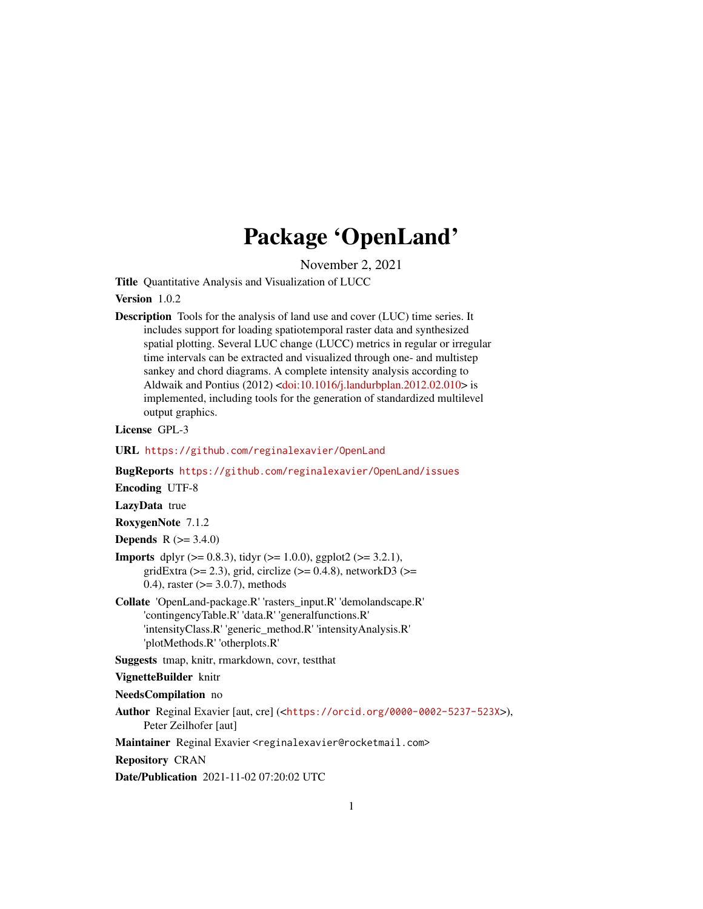## Package 'OpenLand'

November 2, 2021

<span id="page-0-0"></span>Title Quantitative Analysis and Visualization of LUCC

#### Version 1.0.2

Description Tools for the analysis of land use and cover (LUC) time series. It includes support for loading spatiotemporal raster data and synthesized spatial plotting. Several LUC change (LUCC) metrics in regular or irregular time intervals can be extracted and visualized through one- and multistep sankey and chord diagrams. A complete intensity analysis according to Aldwaik and Pontius (2012) [<doi:10.1016/j.landurbplan.2012.02.010>](https://doi.org/10.1016/j.landurbplan.2012.02.010) is implemented, including tools for the generation of standardized multilevel output graphics.

#### License GPL-3

URL <https://github.com/reginalexavier/OpenLand>

BugReports <https://github.com/reginalexavier/OpenLand/issues>

Encoding UTF-8

LazyData true

RoxygenNote 7.1.2

**Depends** R  $(>= 3.4.0)$ 

- **Imports** dplyr  $(>= 0.8.3)$ , tidyr  $(>= 1.0.0)$ , ggplot2  $(>= 3.2.1)$ , gridExtra ( $>= 2.3$ ), grid, circlize ( $>= 0.4.8$ ), networkD3 ( $>=$ 0.4), raster  $(>= 3.0.7)$ , methods
- Collate 'OpenLand-package.R' 'rasters\_input.R' 'demolandscape.R' 'contingencyTable.R' 'data.R' 'generalfunctions.R' 'intensityClass.R' 'generic\_method.R' 'intensityAnalysis.R' 'plotMethods.R' 'otherplots.R'
- Suggests tmap, knitr, rmarkdown, covr, testthat

VignetteBuilder knitr

NeedsCompilation no

Author Reginal Exavier [aut, cre] (<<https://orcid.org/0000-0002-5237-523X>>), Peter Zeilhofer [aut]

Maintainer Reginal Exavier <reginalexavier@rocketmail.com>

Repository CRAN

Date/Publication 2021-11-02 07:20:02 UTC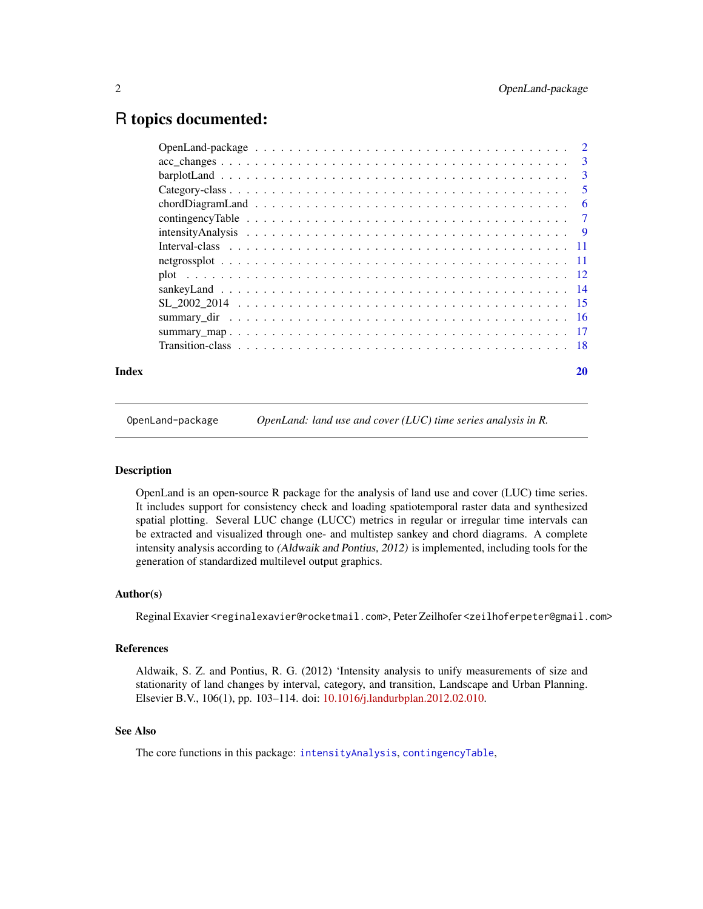### <span id="page-1-0"></span>R topics documented:

| Index |  |    |
|-------|--|----|
|       |  |    |
|       |  |    |
|       |  |    |
|       |  |    |
|       |  |    |
|       |  |    |
|       |  |    |
|       |  |    |
|       |  |    |
|       |  |    |
|       |  |    |
|       |  |    |
|       |  |    |
|       |  | 20 |

OpenLand-package *OpenLand: land use and cover (LUC) time series analysis in R.*

#### Description

OpenLand is an open-source R package for the analysis of land use and cover (LUC) time series. It includes support for consistency check and loading spatiotemporal raster data and synthesized spatial plotting. Several LUC change (LUCC) metrics in regular or irregular time intervals can be extracted and visualized through one- and multistep sankey and chord diagrams. A complete intensity analysis according to (Aldwaik and Pontius, 2012) is implemented, including tools for the generation of standardized multilevel output graphics.

#### Author(s)

Reginal Exavier <reginalexavier@rocketmail.com>, Peter Zeilhofer <zeilhoferpeter@gmail.com>

#### References

Aldwaik, S. Z. and Pontius, R. G. (2012) 'Intensity analysis to unify measurements of size and stationarity of land changes by interval, category, and transition, Landscape and Urban Planning. Elsevier B.V., 106(1), pp. 103–114. doi: [10.1016/j.landurbplan.2012.02.010.](https://doi.org/10.1016/j.landurbplan.2012.02.010)

#### See Also

The core functions in this package: [intensityAnalysis](#page-8-1), [contingencyTable](#page-6-1),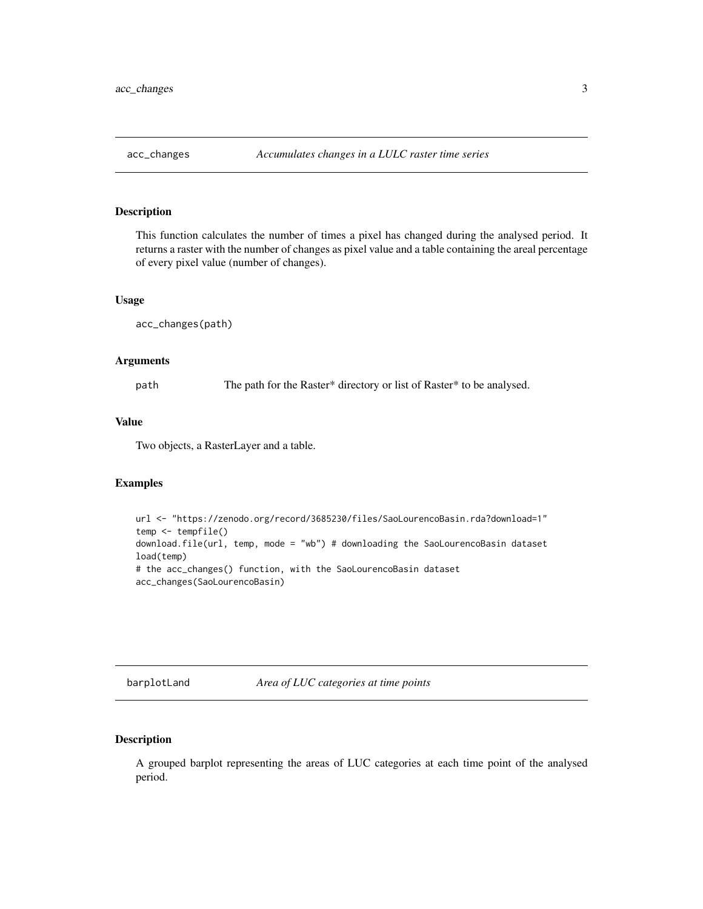<span id="page-2-0"></span>

#### Description

This function calculates the number of times a pixel has changed during the analysed period. It returns a raster with the number of changes as pixel value and a table containing the areal percentage of every pixel value (number of changes).

#### Usage

acc\_changes(path)

#### Arguments

path The path for the Raster\* directory or list of Raster\* to be analysed.

#### Value

Two objects, a RasterLayer and a table.

#### Examples

```
url <- "https://zenodo.org/record/3685230/files/SaoLourencoBasin.rda?download=1"
temp <- tempfile()
download.file(url, temp, mode = "wb") # downloading the SaoLourencoBasin dataset
load(temp)
# the acc_changes() function, with the SaoLourencoBasin dataset
acc_changes(SaoLourencoBasin)
```
barplotLand *Area of LUC categories at time points*

#### Description

A grouped barplot representing the areas of LUC categories at each time point of the analysed period.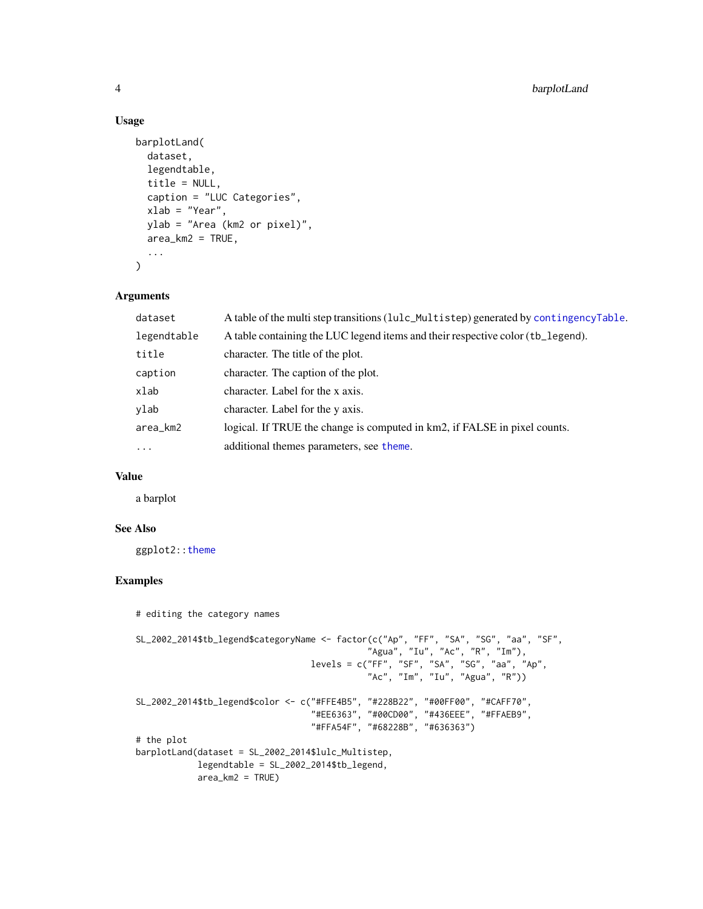#### Usage

```
barplotLand(
  dataset,
  legendtable,
  title = NULL,
  caption = "LUC Categories",
 xlab = "Year",
 ylab = "Area (km2 or pixel)",
  area_km2 = TRUE,...
\mathcal{L}
```
#### Arguments

| dataset     | A table of the multi step transitions (lulc_Multistep) generated by contingencyTable. |
|-------------|---------------------------------------------------------------------------------------|
| legendtable | A table containing the LUC legend items and their respective color (tb_legend).       |
| title       | character. The title of the plot.                                                     |
| caption     | character. The caption of the plot.                                                   |
| xlab        | character. Label for the x axis.                                                      |
| ylab        | character. Label for the y axis.                                                      |
| area_km2    | logical. If TRUE the change is computed in km2, if FALSE in pixel counts.             |
| $\ddotsc$   | additional themes parameters, see theme.                                              |

#### Value

a barplot

#### See Also

ggplot2:[:theme](#page-0-0)

#### Examples

```
# editing the category names
SL_2002_2014$tb_legend$categoryName <- factor(c("Ap", "FF", "SA", "SG", "aa", "SF",
                                             "Agua", "Iu", "Ac", "R", "Im"),
                                  levels = c("FF", "SF", "SA", "SG", "aa", "Ap",
                                              "Ac", "Im", "Iu", "Agua", "R"))
SL_2002_2014$tb_legend$color <- c("#FFE4B5", "#228B22", "#00FF00", "#CAFF70",
                                  "#EE6363", "#00CD00", "#436EEE", "#FFAEB9",
                                  "#FFA54F", "#68228B", "#636363")
# the plot
barplotLand(dataset = SL_2002_2014$lulc_Multistep,
            legendtable = SL_2002_2014$tb_legend,
            area_km2 = TRUE)
```
<span id="page-3-0"></span>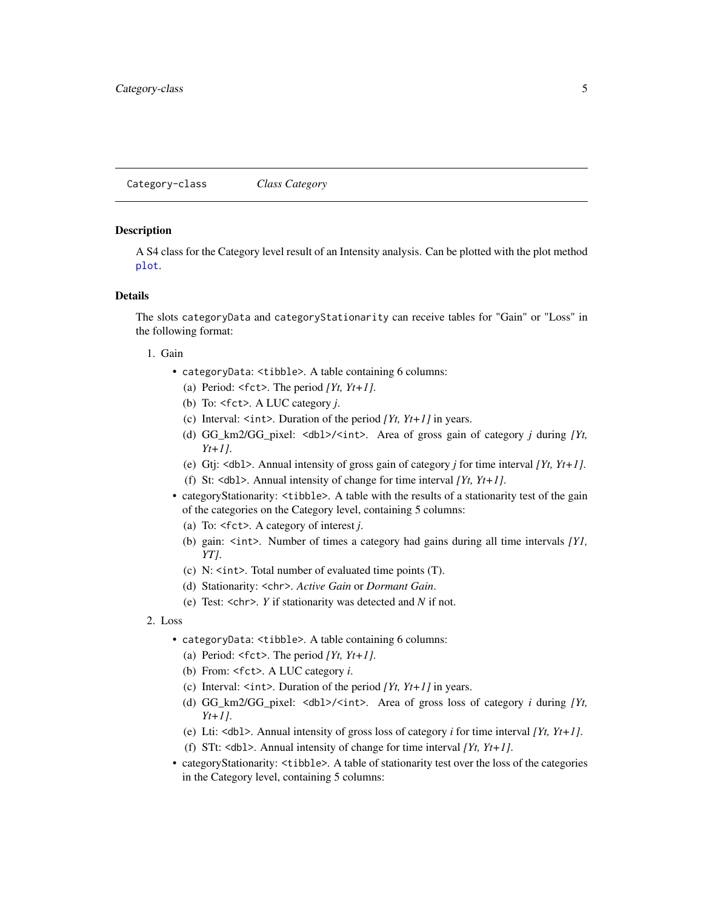<span id="page-4-1"></span><span id="page-4-0"></span>Category-class *Class Category*

#### **Description**

A S4 class for the Category level result of an Intensity analysis. Can be plotted with the plot method [plot](#page-11-1).

#### Details

The slots categoryData and categoryStationarity can receive tables for "Gain" or "Loss" in the following format:

#### 1. Gain

- categoryData: <tibble>. A table containing 6 columns:
	- (a) Period: <fct>. The period *[Yt, Yt+1]*.
	- (b) To: <fct>. A LUC category *j*.
	- (c) Interval:  $\langle \text{int} \rangle$ . Duration of the period *[Yt, Yt+1]* in years.
	- (d) GG\_km2/GG\_pixel: <dbl>/<int>. Area of gross gain of category *j* during *[Yt, Yt+1]*.
	- (e) Gtj: <dbl>. Annual intensity of gross gain of category *j* for time interval *[Yt, Yt+1]*.
	- (f) St: <dbl>. Annual intensity of change for time interval *[Yt, Yt+1]*.
- categoryStationarity: <tibble>. A table with the results of a stationarity test of the gain of the categories on the Category level, containing 5 columns:
	- (a) To: <fct>. A category of interest *j*.
	- (b) gain: <int>. Number of times a category had gains during all time intervals *[Y1, YT]*.
	- (c) N: <int>. Total number of evaluated time points (T).
	- (d) Stationarity: <chr>. *Active Gain* or *Dormant Gain*.
	- (e) Test: <chr>. *Y* if stationarity was detected and *N* if not.
- 2. Loss
	- categoryData: <tibble>. A table containing 6 columns:
		- (a) Period:  $\leq$  fct>. The period *[Yt, Yt+1]*.
		- (b) From: <fct>. A LUC category *i*.
		- (c) Interval: <int>. Duration of the period *[Yt, Yt+1]* in years.
		- (d) GG\_km2/GG\_pixel: <dbl>/<int>. Area of gross loss of category *i* during *[Yt, Yt+1]*.
		- (e) Lti: <dbl>. Annual intensity of gross loss of category *i* for time interval *[Yt, Yt+1]*.
		- (f) STt: <dbl>. Annual intensity of change for time interval *[Yt, Yt+1]*.
	- categoryStationarity: <tibble>. A table of stationarity test over the loss of the categories in the Category level, containing 5 columns: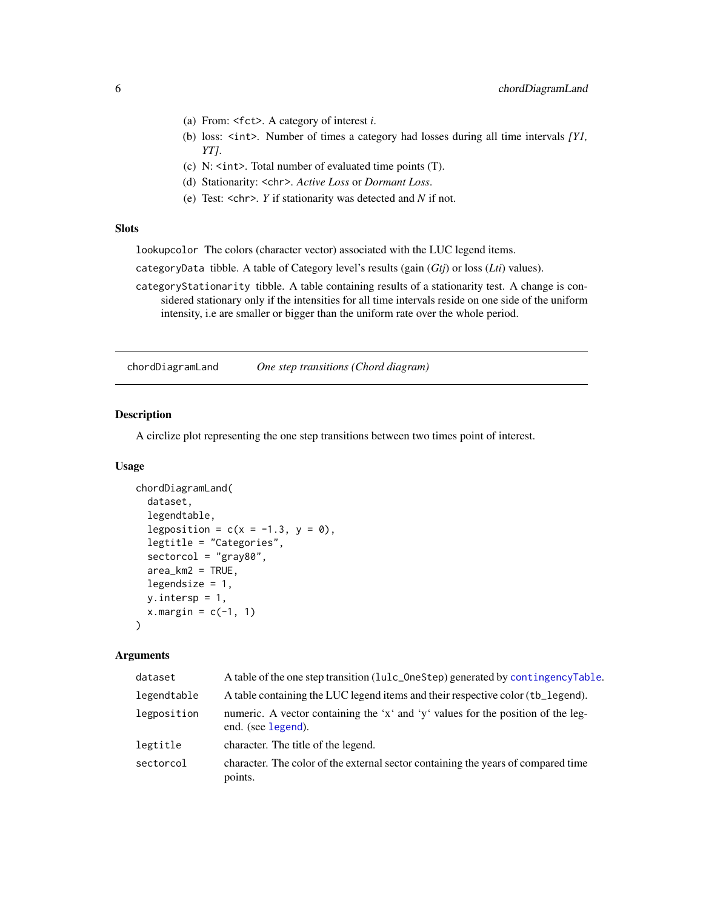- <span id="page-5-0"></span>(a) From: <fct>. A category of interest *i*.
- (b) loss: <int>. Number of times a category had losses during all time intervals *[Y1, YT]*.
- (c) N: <int>. Total number of evaluated time points (T).
- (d) Stationarity: <chr>. *Active Loss* or *Dormant Loss*.
- (e) Test: <chr>. *Y* if stationarity was detected and *N* if not.

#### **Slots**

lookupcolor The colors (character vector) associated with the LUC legend items.

categoryData tibble. A table of Category level's results (gain (*Gtj*) or loss (*Lti*) values).

categoryStationarity tibble. A table containing results of a stationarity test. A change is considered stationary only if the intensities for all time intervals reside on one side of the uniform intensity, i.e are smaller or bigger than the uniform rate over the whole period.

chordDiagramLand *One step transitions (Chord diagram)*

#### Description

A circlize plot representing the one step transitions between two times point of interest.

#### Usage

```
chordDiagramLand(
  dataset,
  legendtable,
  legposition = c(x = -1.3, y = 0),
  legtitle = "Categories",
  sectorcol = "gray80",
  area_km2 = TRUE,legendsize = 1,
  y.intersp = 1,
  x.margin = c(-1, 1))
```
#### Arguments

| dataset     | A table of the one step transition (lulc_0neStep) generated by contingencyTable.                       |
|-------------|--------------------------------------------------------------------------------------------------------|
| legendtable | A table containing the LUC legend items and their respective color (tb_legend).                        |
| legposition | numeric. A vector containing the 'x' and 'y' values for the position of the leg-<br>end. (see legend). |
| legtitle    | character. The title of the legend.                                                                    |
| sectorcol   | character. The color of the external sector containing the years of compared time<br>points.           |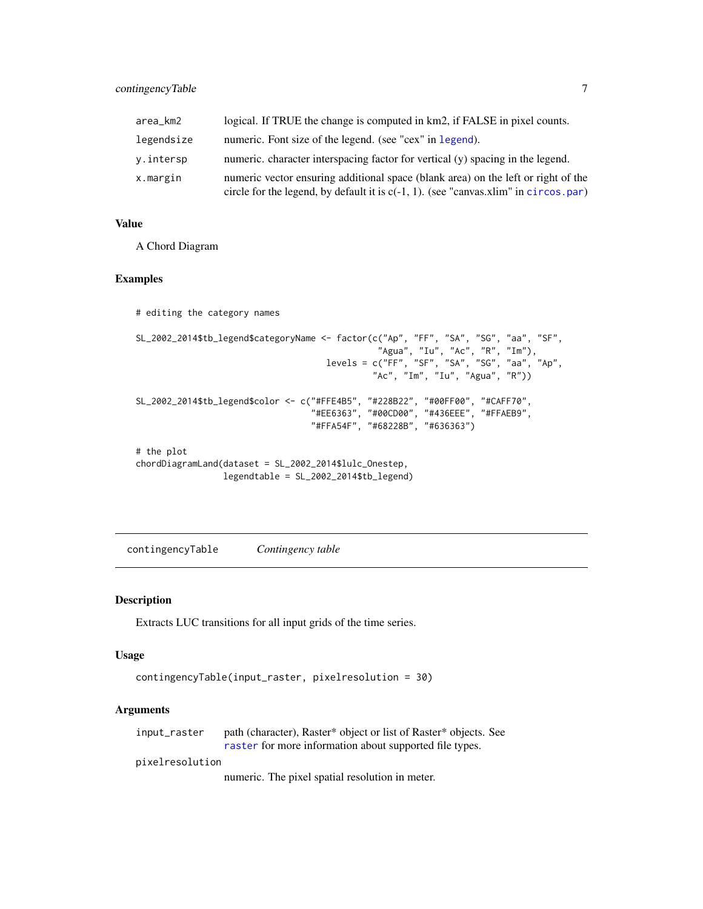<span id="page-6-0"></span>

| area_km2   | logical. If TRUE the change is computed in km2, if FALSE in pixel counts.                                                                                                   |
|------------|-----------------------------------------------------------------------------------------------------------------------------------------------------------------------------|
| legendsize | numeric. Font size of the legend. (see "cex" in legend).                                                                                                                    |
| y.intersp  | numeric. character interspacing factor for vertical (y) spacing in the legend.                                                                                              |
| x.margin   | numeric vector ensuring additional space (blank area) on the left or right of the<br>circle for the legend, by default it is $c(-1, 1)$ . (see "canvas.xlim" in circos.par) |

#### Value

A Chord Diagram

#### Examples

```
# editing the category names
SL_2002_2014$tb_legend$categoryName <- factor(c("Ap", "FF", "SA", "SG", "aa", "SF",
                                                "Agua", "Iu", "Ac", "R", "Im"),
                                      levels = c("FF", "SF", "SA", "SG", "aa", "Ap",
                                               "Ac", "Im", "Iu", "Agua", "R"))
SL_2002_2014$tb_legend$color <- c("#FFE4B5", "#228B22", "#00FF00", "#CAFF70",
                                  "#EE6363", "#00CD00", "#436EEE", "#FFAEB9",
                                  "#FFA54F", "#68228B", "#636363")
# the plot
chordDiagramLand(dataset = SL_2002_2014$lulc_Onestep,
```
legendtable = SL\_2002\_2014\$tb\_legend)

<span id="page-6-1"></span>contingencyTable *Contingency table*

#### Description

Extracts LUC transitions for all input grids of the time series.

#### Usage

```
contingencyTable(input_raster, pixelresolution = 30)
```
#### Arguments

| input_raster | path (character), Raster* object or list of Raster* objects. See |
|--------------|------------------------------------------------------------------|
|              | raster for more information about supported file types.          |

pixelresolution

numeric. The pixel spatial resolution in meter.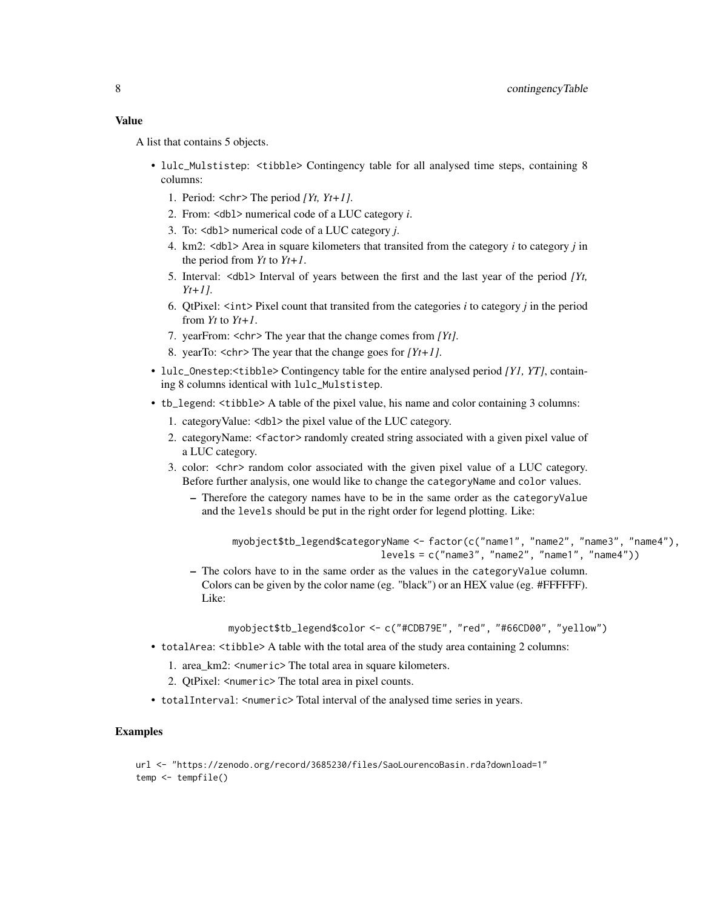#### Value

A list that contains 5 objects.

- lulc\_Mulstistep:  $\lt$ tibble> Contingency table for all analysed time steps, containing 8 columns:
	- 1. Period: <chr> The period *[Yt, Yt+1]*.
	- 2. From: <dbl> numerical code of a LUC category *i*.
	- 3. To: <dbl> numerical code of a LUC category *j*.
	- 4. km2: <dbl> Area in square kilometers that transited from the category *i* to category *j* in the period from *Yt* to *Yt+1*.
	- 5. Interval: <dbl> Interval of years between the first and the last year of the period *[Yt, Yt+1]*.
	- 6. QtPixel: <int> Pixel count that transited from the categories *i* to category *j* in the period from *Yt* to *Yt+1*.
	- 7. yearFrom: <chr> The year that the change comes from *[Yt]*.
	- 8. yearTo: <chr> The year that the change goes for *[Yt+1]*.
- lulc\_Onestep:<tibble> Contingency table for the entire analysed period *[Y1, YT]*, containing 8 columns identical with lulc\_Mulstistep.
- tb\_legend: <tibble> A table of the pixel value, his name and color containing 3 columns:
	- 1. categoryValue: <dbl> the pixel value of the LUC category.
	- 2. categoryName: <factor> randomly created string associated with a given pixel value of a LUC category.
	- 3. color: <chr> random color associated with the given pixel value of a LUC category. Before further analysis, one would like to change the categoryName and color values.
		- Therefore the category names have to be in the same order as the categoryValue and the levels should be put in the right order for legend plotting. Like:

```
myobject$tb_legend$categoryName <- factor(c("name1", "name2", "name3", "name4"),
                          levels = c("name3", "name2", "name1", "name4"))
```
– The colors have to in the same order as the values in the categoryValue column. Colors can be given by the color name (eg. "black") or an HEX value (eg. #FFFFFF). Like:

myobject\$tb\_legend\$color <- c("#CDB79E", "red", "#66CD00", "yellow")

- totalArea: <tibble> A table with the total area of the study area containing 2 columns:
	- 1. area\_km2: <numeric> The total area in square kilometers.
	- 2. QtPixel: <numeric> The total area in pixel counts.
- totalInterval: <numeric> Total interval of the analysed time series in years.

#### Examples

```
url <- "https://zenodo.org/record/3685230/files/SaoLourencoBasin.rda?download=1"
temp <- tempfile()
```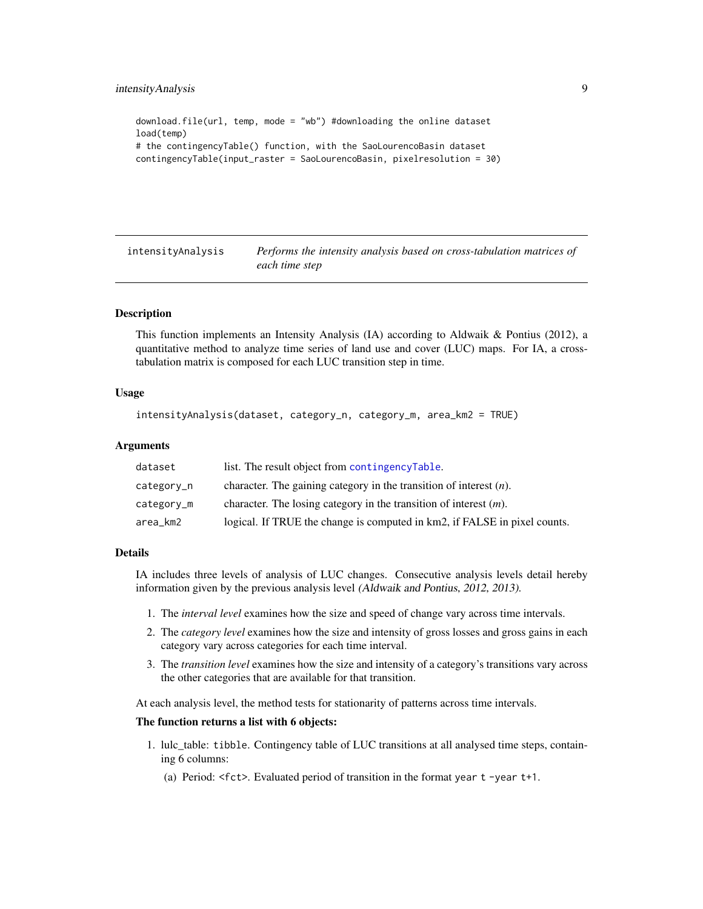```
download.file(url, temp, mode = "wb") #downloading the online dataset
load(temp)
# the contingencyTable() function, with the SaoLourencoBasin dataset
contingencyTable(input_raster = SaoLourencoBasin, pixelresolution = 30)
```
<span id="page-8-1"></span>intensityAnalysis *Performs the intensity analysis based on cross-tabulation matrices of each time step*

#### Description

This function implements an Intensity Analysis (IA) according to Aldwaik & Pontius (2012), a quantitative method to analyze time series of land use and cover (LUC) maps. For IA, a crosstabulation matrix is composed for each LUC transition step in time.

#### Usage

```
intensityAnalysis(dataset, category_n, category_m, area_km2 = TRUE)
```
#### Arguments

| dataset    | list. The result object from contingencyTable.                            |
|------------|---------------------------------------------------------------------------|
| category_n | character. The gaining category in the transition of interest $(n)$ .     |
| category_m | character. The losing category in the transition of interest $(m)$ .      |
| area_km2   | logical. If TRUE the change is computed in km2, if FALSE in pixel counts. |

#### Details

IA includes three levels of analysis of LUC changes. Consecutive analysis levels detail hereby information given by the previous analysis level (Aldwaik and Pontius, 2012, 2013).

- 1. The *interval level* examines how the size and speed of change vary across time intervals.
- 2. The *category level* examines how the size and intensity of gross losses and gross gains in each category vary across categories for each time interval.
- 3. The *transition level* examines how the size and intensity of a category's transitions vary across the other categories that are available for that transition.

At each analysis level, the method tests for stationarity of patterns across time intervals.

#### The function returns a list with 6 objects:

- 1. lulc\_table: tibble. Contingency table of LUC transitions at all analysed time steps, containing 6 columns:
	- (a) Period: <fct>. Evaluated period of transition in the format year t -year t+1.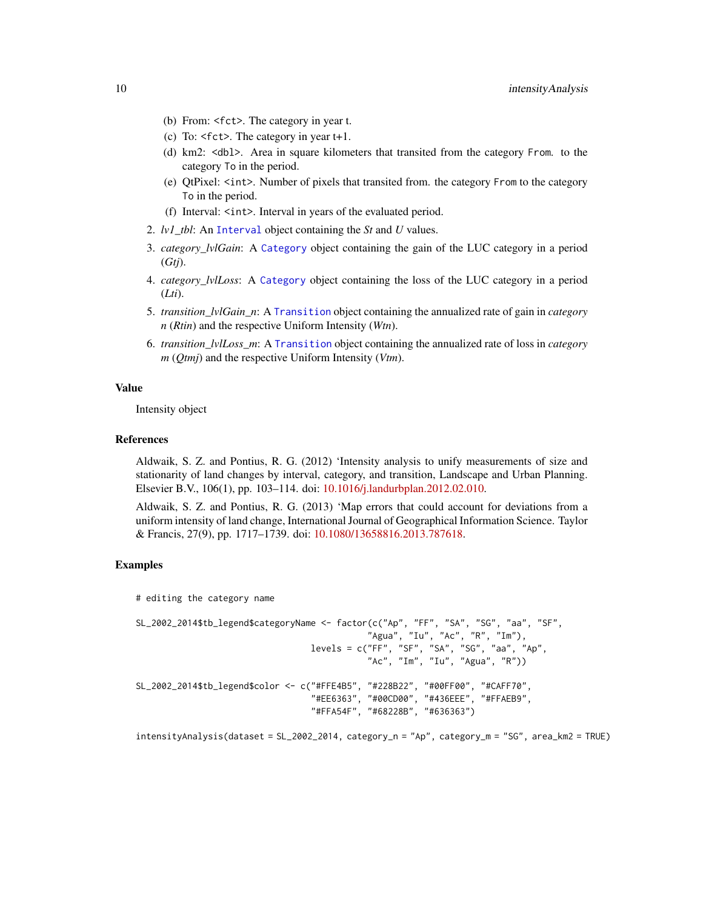- <span id="page-9-0"></span>(b) From: <fct>. The category in year t.
- (c) To: <fct>. The category in year t+1.
- (d) km2: <dbl>. Area in square kilometers that transited from the category From. to the category To in the period.
- (e) QtPixel: <int>. Number of pixels that transited from. the category From to the category To in the period.
- (f) Interval: <int>. Interval in years of the evaluated period.
- 2. *lv1\_tbl*: An [Interval](#page-10-1) object containing the *St* and *U* values.
- 3. *category\_lvlGain*: A [Category](#page-4-1) object containing the gain of the LUC category in a period (*Gtj*).
- 4. *category\_lvlLoss*: A [Category](#page-4-1) object containing the loss of the LUC category in a period (*Lti*).
- 5. *transition\_lvlGain\_n*: A [Transition](#page-17-1) object containing the annualized rate of gain in *category n* (*Rtin*) and the respective Uniform Intensity (*Wtn*).
- 6. *transition\_lvlLoss\_m*: A [Transition](#page-17-1) object containing the annualized rate of loss in *category m* (*Qtmj*) and the respective Uniform Intensity (*Vtm*).

#### Value

Intensity object

#### References

Aldwaik, S. Z. and Pontius, R. G. (2012) 'Intensity analysis to unify measurements of size and stationarity of land changes by interval, category, and transition, Landscape and Urban Planning. Elsevier B.V., 106(1), pp. 103–114. doi: [10.1016/j.landurbplan.2012.02.010.](https://doi.org/10.1016/j.landurbplan.2012.02.010)

Aldwaik, S. Z. and Pontius, R. G. (2013) 'Map errors that could account for deviations from a uniform intensity of land change, International Journal of Geographical Information Science. Taylor & Francis, 27(9), pp. 1717–1739. doi: [10.1080/13658816.2013.787618.](https://doi.org/10.1080/13658816.2013.787618)

#### Examples

# editing the category name

```
SL_2002_2014$tb_legend$categoryName <- factor(c("Ap", "FF", "SA", "SG", "aa", "SF",
                                             "Agua", "Iu", "Ac", "R", "Im"),
                                  levels = c("FF", "SF", "SA", "SG", "aa", "Ap","Ac", "Im", "Iu", "Agua", "R"))
SL_2002_2014$tb_legend$color <- c("#FFE4B5", "#228B22", "#00FF00", "#CAFF70",
                                  "#EE6363", "#00CD00", "#436EEE", "#FFAEB9",
                                  "#FFA54F", "#68228B", "#636363")
```
intensityAnalysis(dataset = SL\_2002\_2014, category\_n = "Ap", category\_m = "SG", area\_km2 = TRUE)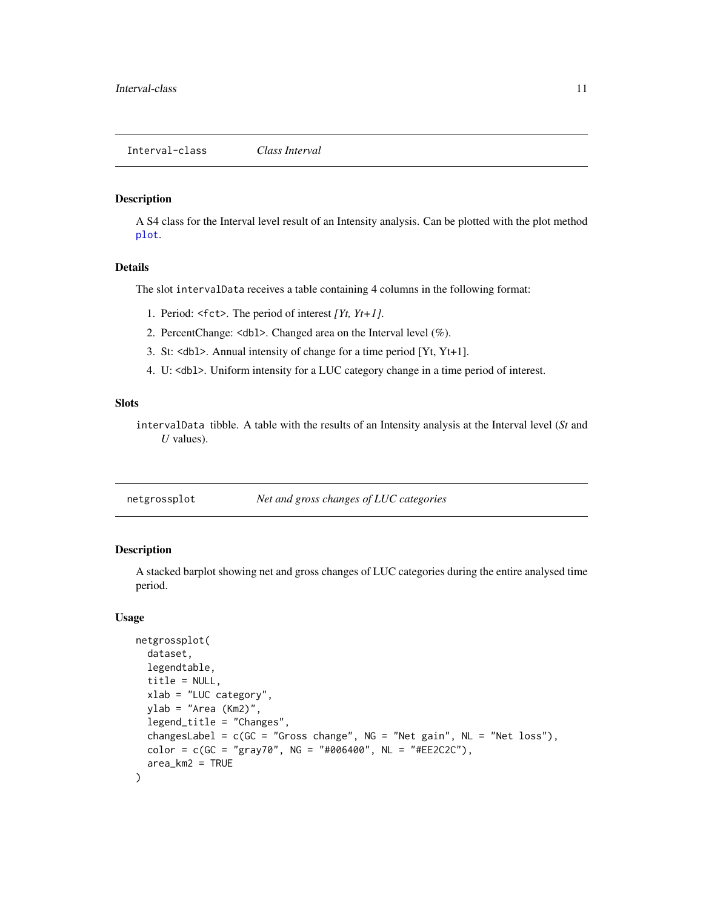#### <span id="page-10-1"></span><span id="page-10-0"></span>Description

A S4 class for the Interval level result of an Intensity analysis. Can be plotted with the plot method [plot](#page-11-1).

#### Details

The slot intervalData receives a table containing 4 columns in the following format:

- 1. Period: <fct>. The period of interest *[Yt, Yt+1]*.
- 2. PercentChange: <dbl>. Changed area on the Interval level (%).
- 3. St: <dbl>. Annual intensity of change for a time period [Yt, Yt+1].
- 4. U: <dbl>. Uniform intensity for a LUC category change in a time period of interest.

#### Slots

intervalData tibble. A table with the results of an Intensity analysis at the Interval level (*St* and *U* values).

| netgrossplot |  |  | Net and gross changes of LUC categories |
|--------------|--|--|-----------------------------------------|
|              |  |  |                                         |

#### Description

A stacked barplot showing net and gross changes of LUC categories during the entire analysed time period.

#### Usage

```
netgrossplot(
  dataset,
  legendtable,
  title = NULL,
 xlab = "LUC category",
 ylab = "Area (Km2)",
  legend_title = "Changes",
  changesLabel = c(GC = "Gross change", NG = "Net gain", NL = "Net loss").color = c(GC = "gray70", NG = "#006400", NL = "#EE2C2C"),area_km2 = TRUE
)
```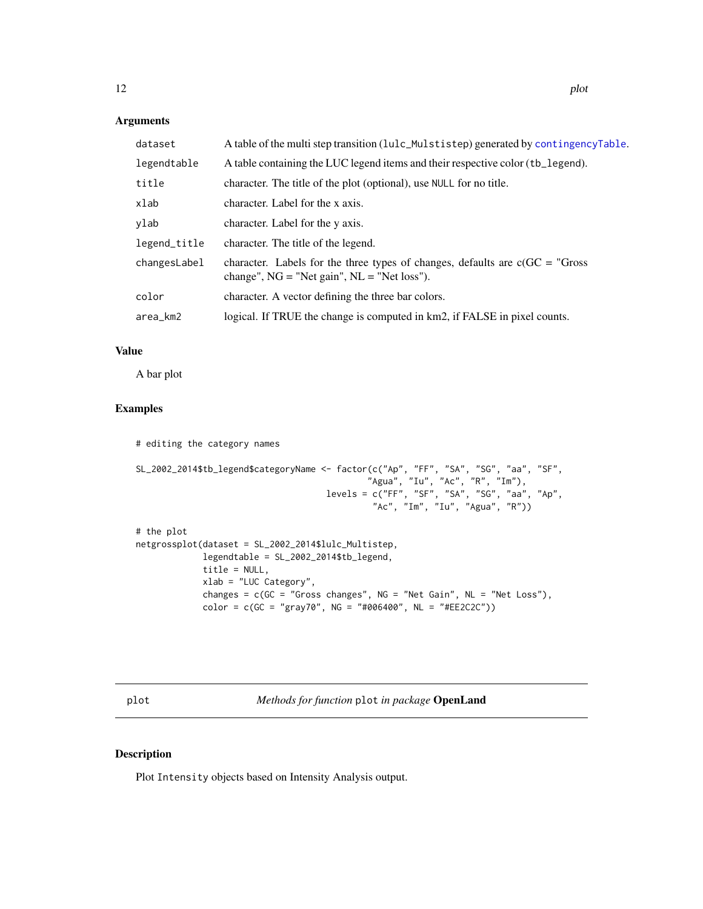<span id="page-11-0"></span>Arguments

| dataset      | A table of the multi step transition (lulc_Mulstistep) generated by contingencyTable.                                           |
|--------------|---------------------------------------------------------------------------------------------------------------------------------|
| legendtable  | A table containing the LUC legend items and their respective color (tb_legend).                                                 |
| title        | character. The title of the plot (optional), use NULL for no title.                                                             |
| xlab         | character. Label for the x axis.                                                                                                |
| ylab         | character. Label for the y axis.                                                                                                |
| legend_title | character. The title of the legend.                                                                                             |
| changesLabel | character. Labels for the three types of changes, defaults are $c(GC = "Gross$<br>change", $NG = "Net gain", NL = "Net loss").$ |
| color        | character. A vector defining the three bar colors.                                                                              |
| area_km2     | logical. If TRUE the change is computed in km2, if FALSE in pixel counts.                                                       |

#### Value

A bar plot

#### Examples

```
# editing the category names
SL_2002_2014$tb_legend$categoryName <- factor(c("Ap", "FF", "SA", "SG", "aa", "SF",
                                             "Agua", "Iu", "Ac", "R", "Im"),
                                     levels = c("FF", "SF", "SA", "SG", "aa", "Ap",
                                              "Ac", "Im", "Iu", "Agua", "R"))
# the plot
netgrossplot(dataset = SL_2002_2014$lulc_Multistep,
            legendtable = SL_2002_2014$tb_legend,
             title = NULL,
            xlab = "LUC Category",
             changes = c(GC = "Gross changes", NG = "Net Gain", NL = "Net Loss"),color = c(GC = "gray70", NG = "#006400", NL = "#EE2C2C"))
```
<span id="page-11-1"></span>plot *Methods for function* plot *in package* OpenLand

#### Description

Plot Intensity objects based on Intensity Analysis output.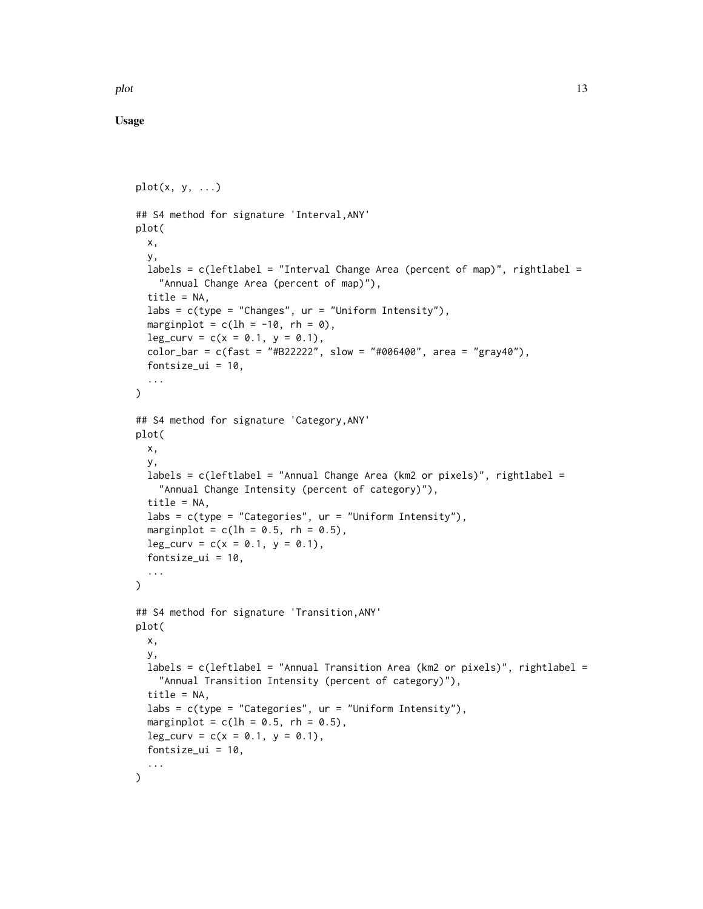plot the state of the state of the state of the state of the state of the state of the state of the state of the state of the state of the state of the state of the state of the state of the state of the state of the state

Usage

```
plot(x, y, ...)## S4 method for signature 'Interval,ANY'
plot(
  x,
  y,
  labels = c(leftlabel = "Interval Change Area (percent of map)", rightlabel =
    "Annual Change Area (percent of map)"),
  title = NA,
  labs = c(type = "Changes", ur = "Uniform Intensity"),marginplot = c(lh = -10, rh = 0),
  leg\_curv = c(x = 0.1, y = 0.1),color_bar = c(fast = "#B22222", slow = "#006400", area = "gray40"),
  fontsize_ui = 10,
  ...
\mathcal{L}## S4 method for signature 'Category,ANY'
plot(
 x,
  y,
  labels = c(leftlabel = "Annual Change Area (km2 or pixels)", rightlabel =
    "Annual Change Intensity (percent of category)"),
  title = NA,
  labs = c(type = "Categories", ur = "Uniform Intensity"),
  marginplot = c(lh = 0.5, rh = 0.5),
  leg_{curv} = c(x = 0.1, y = 0.1),fontsize_ui = 10,
  ...
\mathcal{L}## S4 method for signature 'Transition,ANY'
plot(
 x,
  y,
  labels = c(leftlabel = "Annual Transition Area (km2 or pixels)", rightlabel =
    "Annual Transition Intensity (percent of category)"),
  title = NA,
  labs = c(type = "Categorical", ur = "Uniform Intensity"),marginplot = c(lh = 0.5, rh = 0.5),
  leg\_curv = c(x = 0.1, y = 0.1),fontsize_ui = 10,
  ...
)
```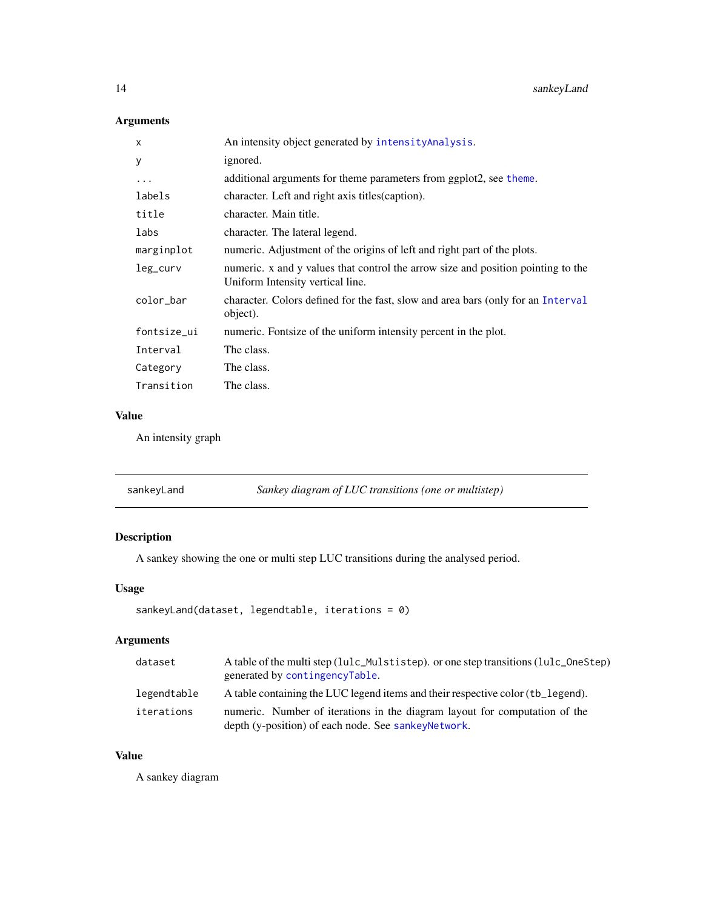#### <span id="page-13-0"></span>Arguments

| X           | An intensity object generated by intensity Analysis.                                                                 |
|-------------|----------------------------------------------------------------------------------------------------------------------|
| У           | ignored.                                                                                                             |
| $\cdots$    | additional arguments for theme parameters from ggplot2, see theme.                                                   |
| labels      | character. Left and right axis titles (caption).                                                                     |
| title       | character. Main title.                                                                                               |
| labs        | character. The lateral legend.                                                                                       |
| marginplot  | numeric. Adjustment of the origins of left and right part of the plots.                                              |
| leg_curv    | numeric. x and y values that control the arrow size and position pointing to the<br>Uniform Intensity vertical line. |
| color_bar   | character. Colors defined for the fast, slow and area bars (only for an Interval<br>object).                         |
| fontsize_ui | numeric. Fontsize of the uniform intensity percent in the plot.                                                      |
| Interval    | The class.                                                                                                           |
| Category    | The class.                                                                                                           |
| Transition  | The class.                                                                                                           |

#### Value

An intensity graph

#### Description

A sankey showing the one or multi step LUC transitions during the analysed period.

#### Usage

```
sankeyLand(dataset, legendtable, iterations = 0)
```
#### Arguments

| dataset     | A table of the multi step (lulc_Mulstistep), or one step transitions (lulc_OneStep)<br>generated by contingencyTable.              |
|-------------|------------------------------------------------------------------------------------------------------------------------------------|
| legendtable | A table containing the LUC legend items and their respective color (tb_legend).                                                    |
| iterations  | numeric. Number of iterations in the diagram layout for computation of the<br>depth (y-position) of each node. See sankey Network. |

#### Value

A sankey diagram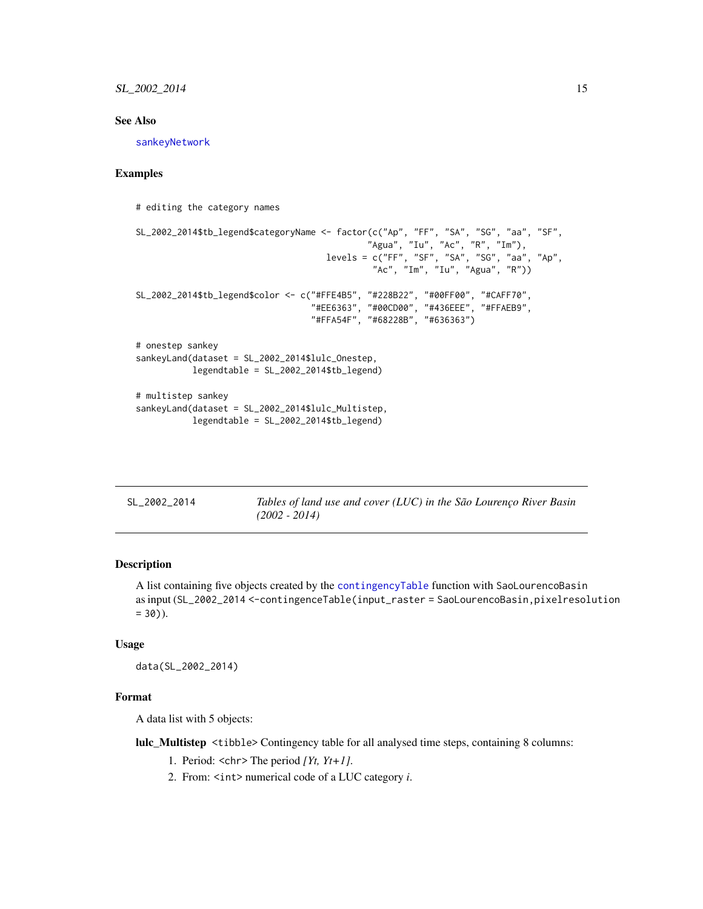#### <span id="page-14-0"></span>See Also

[sankeyNetwork](#page-0-0)

#### Examples

# editing the category names

```
SL_2002_2014$tb_legend$categoryName <- factor(c("Ap", "FF", "SA", "SG", "aa", "SF",
                                             "Agua", "Iu", "Ac", "R", "Im"),
                                     levels = c("FF", "SF", "SA", "SG", "aa", "Ap",
                                              "Ac", "Im", "Iu", "Agua", "R"))
SL_2002_2014$tb_legend$color <- c("#FFE4B5", "#228B22", "#00FF00", "#CAFF70",
                                  "#EE6363", "#00CD00", "#436EEE", "#FFAEB9",
                                  "#FFA54F", "#68228B", "#636363")
# onestep sankey
sankeyLand(dataset = SL_2002_2014$lulc_Onestep,
          legendtable = SL_2002_2014$tb_legend)
# multistep sankey
sankeyLand(dataset = SL_2002_2014$lulc_Multistep,
           legendtable = SL_2002_2014$tb_legend)
```

| SL_2002_2014 | Tables of land use and cover (LUC) in the São Lourenço River Basin |
|--------------|--------------------------------------------------------------------|
|              | $(2002 - 2014)$                                                    |

#### Description

A list containing five objects created by the [contingencyTable](#page-6-1) function with SaoLourencoBasin as input (SL\_2002\_2014 <-contingenceTable(input\_raster = SaoLourencoBasin,pixelresolution  $= 30$ ).

#### Usage

data(SL\_2002\_2014)

#### Format

A data list with 5 objects:

lulc\_Multistep <tibble> Contingency table for all analysed time steps, containing 8 columns:

- 1. Period: <chr> The period *[Yt, Yt+1]*.
- 2. From: <int> numerical code of a LUC category *i*.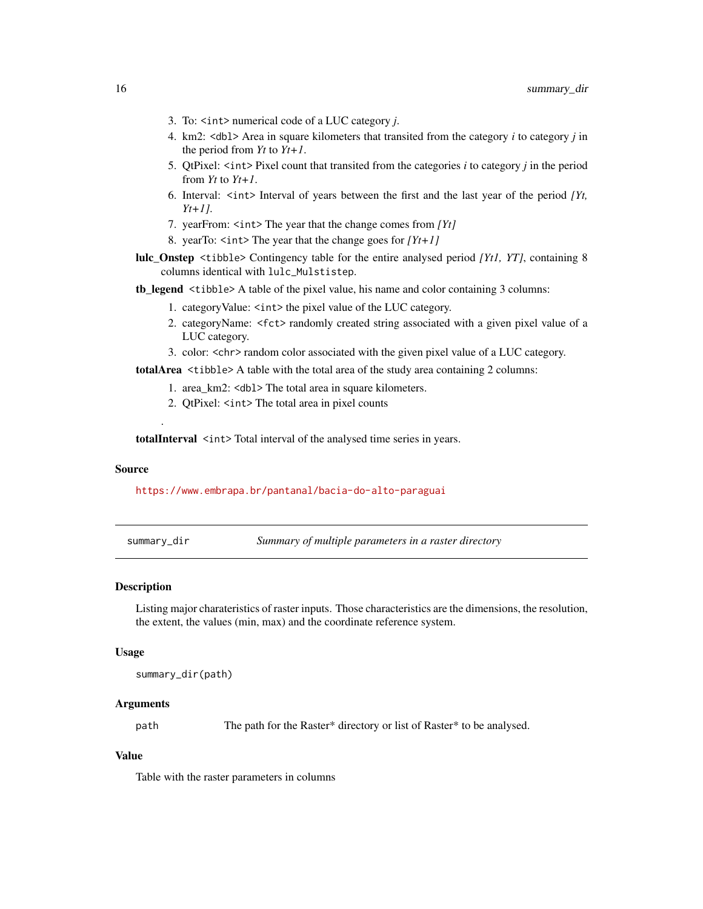- <span id="page-15-0"></span>3. To: <int> numerical code of a LUC category *j*.
- 4. km2: <dbl> Area in square kilometers that transited from the category *i* to category *j* in the period from *Yt* to *Yt+1*.
- 5. QtPixel: <int> Pixel count that transited from the categories *i* to category *j* in the period from *Yt* to *Yt+1*.
- 6. Interval: <int> Interval of years between the first and the last year of the period *[Yt, Yt+1]*.
- 7. yearFrom: <int> The year that the change comes from *[Yt]*
- 8. yearTo: <int> The year that the change goes for *[Yt+1]*
- lulc\_Onstep <tibble> Contingency table for the entire analysed period *[Yt1, YT]*, containing 8 columns identical with lulc\_Mulstistep.

tb\_legend <tibble> A table of the pixel value, his name and color containing 3 columns:

- 1. categoryValue:  $\langle \text{int} \rangle$  the pixel value of the LUC category.
- 2. categoryName: <fct> randomly created string associated with a given pixel value of a LUC category.
- 3. color: <chr> random color associated with the given pixel value of a LUC category.

totalArea <tibble> A table with the total area of the study area containing 2 columns:

- 1. area km2: <db1> The total area in square kilometers.
- 2. QtPixel:  $\leq$ int> The total area in pixel counts

totalInterval <int>Total interval of the analysed time series in years.

#### Source

<https://www.embrapa.br/pantanal/bacia-do-alto-paraguai>

.

summary\_dir *Summary of multiple parameters in a raster directory*

#### Description

Listing major charateristics of raster inputs. Those characteristics are the dimensions, the resolution, the extent, the values (min, max) and the coordinate reference system.

#### Usage

summary\_dir(path)

#### Arguments

path The path for the Raster\* directory or list of Raster\* to be analysed.

#### Value

Table with the raster parameters in columns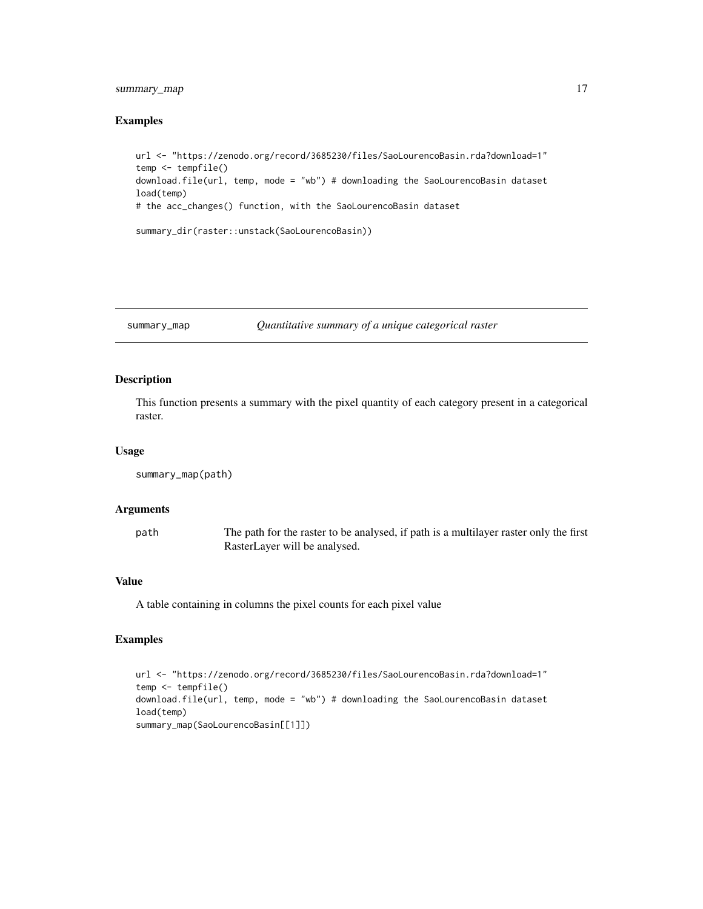#### <span id="page-16-0"></span>summary\_map 17

#### Examples

```
url <- "https://zenodo.org/record/3685230/files/SaoLourencoBasin.rda?download=1"
temp <- tempfile()
download.file(url, temp, mode = "wb") # downloading the SaoLourencoBasin dataset
load(temp)
# the acc_changes() function, with the SaoLourencoBasin dataset
summary_dir(raster::unstack(SaoLourencoBasin))
```
#### summary\_map *Quantitative summary of a unique categorical raster*

#### Description

This function presents a summary with the pixel quantity of each category present in a categorical raster.

#### Usage

```
summary_map(path)
```
#### Arguments

| path | The path for the raster to be analysed, if path is a multilayer raster only the first |
|------|---------------------------------------------------------------------------------------|
|      | RasterLayer will be analysed.                                                         |

#### Value

A table containing in columns the pixel counts for each pixel value

#### Examples

```
url <- "https://zenodo.org/record/3685230/files/SaoLourencoBasin.rda?download=1"
temp <- tempfile()
download.file(url, temp, mode = "wb") # downloading the SaoLourencoBasin dataset
load(temp)
summary_map(SaoLourencoBasin[[1]])
```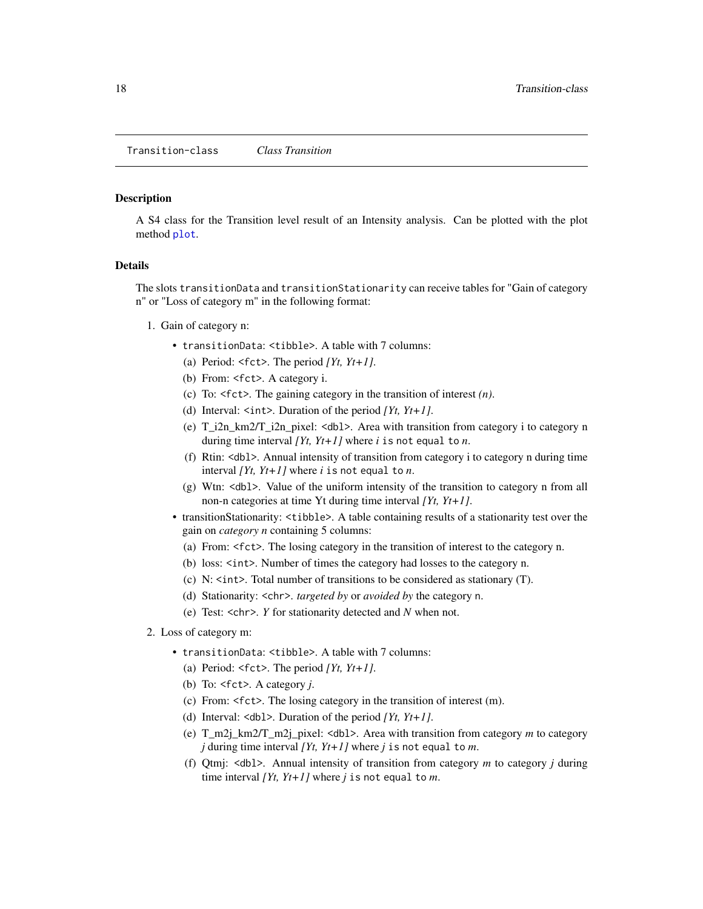#### <span id="page-17-1"></span><span id="page-17-0"></span>Description

A S4 class for the Transition level result of an Intensity analysis. Can be plotted with the plot method [plot](#page-11-1).

#### Details

The slots transitionData and transitionStationarity can receive tables for "Gain of category n" or "Loss of category m" in the following format:

- 1. Gain of category n:
	- transitionData: <tibble>. A table with 7 columns:
		- (a) Period:  $\text{Set}$ . The period *[Yt, Yt+1]*.
		- (b) From: <fct>. A category i.
		- (c) To: <fct>. The gaining category in the transition of interest *(n)*.
		- (d) Interval:  $\langle \text{int} \rangle$ . Duration of the period *[Yt, Yt+1]*.
		- (e) T\_i2n\_km2/T\_i2n\_pixel:  $\lt$ dbl>. Area with transition from category i to category n during time interval *[Yt, Yt+1]* where *i* is not equal to *n*.
		- (f) Rtin: <dbl>. Annual intensity of transition from category i to category n during time interval *[Yt, Yt+1]* where *i* is not equal to *n*.
		- (g) Wtn: <dbl>. Value of the uniform intensity of the transition to category n from all non-n categories at time Yt during time interval *[Yt, Yt+1]*.
	- transitionStationarity: <tibble>. A table containing results of a stationarity test over the gain on *category n* containing 5 columns:
		- (a) From: <fct>. The losing category in the transition of interest to the category n.
		- (b) loss: <int>. Number of times the category had losses to the category n.
		- (c) N: <int>. Total number of transitions to be considered as stationary (T).
		- (d) Stationarity: <chr>. *targeted by* or *avoided by* the category n.
		- (e) Test: <chr>. *Y* for stationarity detected and *N* when not.
- 2. Loss of category m:
	- transitionData: <tibble>. A table with 7 columns:
		- (a) Period:  $\leq$  fct>. The period *[Yt, Yt+1]*.
		- (b) To: <fct>. A category *j*.
		- (c) From: <fct>. The losing category in the transition of interest (m).
		- (d) Interval: <dbl>. Duration of the period *[Yt, Yt+1]*.
		- (e) T\_m2j\_km2/T\_m2j\_pixel: <dbl>. Area with transition from category *m* to category *j* during time interval *[Yt, Yt+1]* where *j* is not equal to *m*.
		- (f) Qtmj: <dbl>. Annual intensity of transition from category *m* to category *j* during time interval *[Yt, Yt+1]* where *j* is not equal to *m*.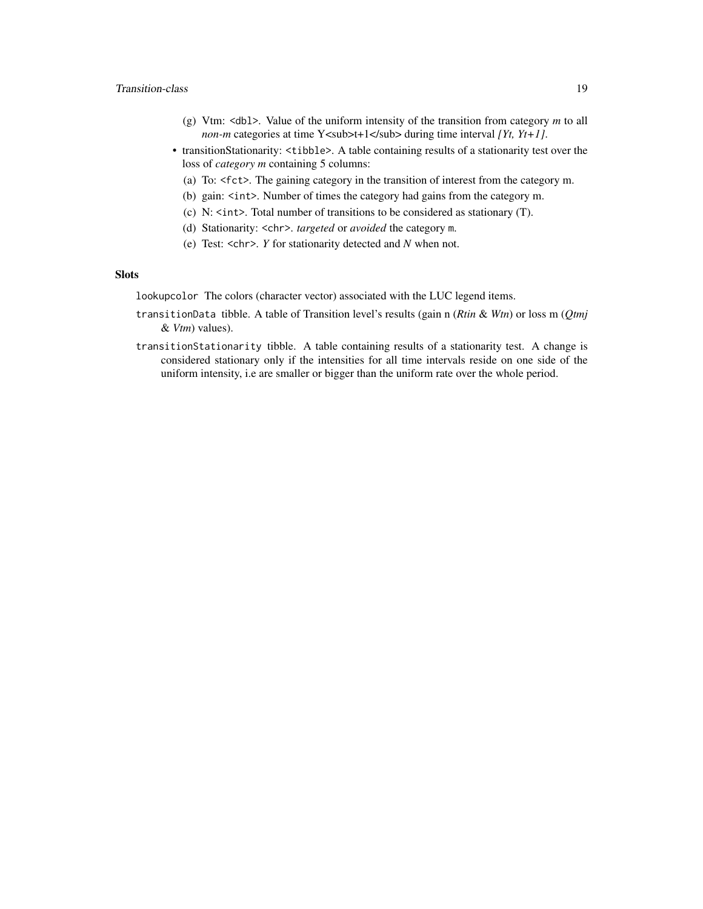#### Transition-class 19

- (g) Vtm: <dbl>. Value of the uniform intensity of the transition from category *m* to all *non-m* categories at time Y<sub>t+1</sub> during time interval *[Yt, Yt+1]*.
- transitionStationarity: <tibble>. A table containing results of a stationarity test over the loss of *category m* containing 5 columns:
	- (a) To: <fct>. The gaining category in the transition of interest from the category m.
	- (b) gain: <int>. Number of times the category had gains from the category m.
	- (c) N: <int>. Total number of transitions to be considered as stationary (T).
	- (d) Stationarity: <chr>. *targeted* or *avoided* the category m.
	- (e) Test: <chr>. *Y* for stationarity detected and *N* when not.

#### **Slots**

lookupcolor The colors (character vector) associated with the LUC legend items.

- transitionData tibble. A table of Transition level's results (gain n (*Rtin* & *Wtn*) or loss m (*Qtmj* & *Vtm*) values).
- transitionStationarity tibble. A table containing results of a stationarity test. A change is considered stationary only if the intensities for all time intervals reside on one side of the uniform intensity, i.e are smaller or bigger than the uniform rate over the whole period.